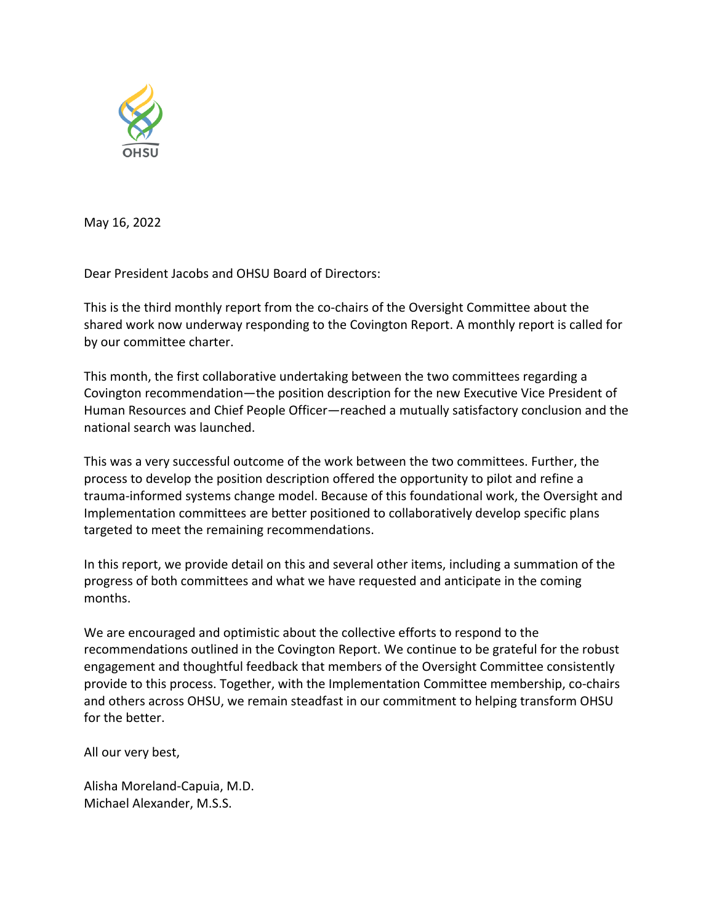

May 16, 2022

Dear President Jacobs and OHSU Board of Directors:

This is the third monthly report from the co-chairs of the Oversight Committee about the shared work now underway responding to the Covington Report. A monthly report is called for by our committee charter.

This month, the first collaborative undertaking between the two committees regarding a Covington recommendation—the position description for the new Executive Vice President of Human Resources and Chief People Officer—reached a mutually satisfactory conclusion and the national search was launched.

This was a very successful outcome of the work between the two committees. Further, the process to develop the position description offered the opportunity to pilot and refine a trauma-informed systems change model. Because of this foundational work, the Oversight and Implementation committees are better positioned to collaboratively develop specific plans targeted to meet the remaining recommendations.

In this report, we provide detail on this and several other items, including a summation of the progress of both committees and what we have requested and anticipate in the coming months.

We are encouraged and optimistic about the collective efforts to respond to the recommendations outlined in the Covington Report. We continue to be grateful for the robust engagement and thoughtful feedback that members of the Oversight Committee consistently provide to this process. Together, with the Implementation Committee membership, co-chairs and others across OHSU, we remain steadfast in our commitment to helping transform OHSU for the better.

All our very best,

Alisha Moreland-Capuia, M.D. Michael Alexander, M.S.S.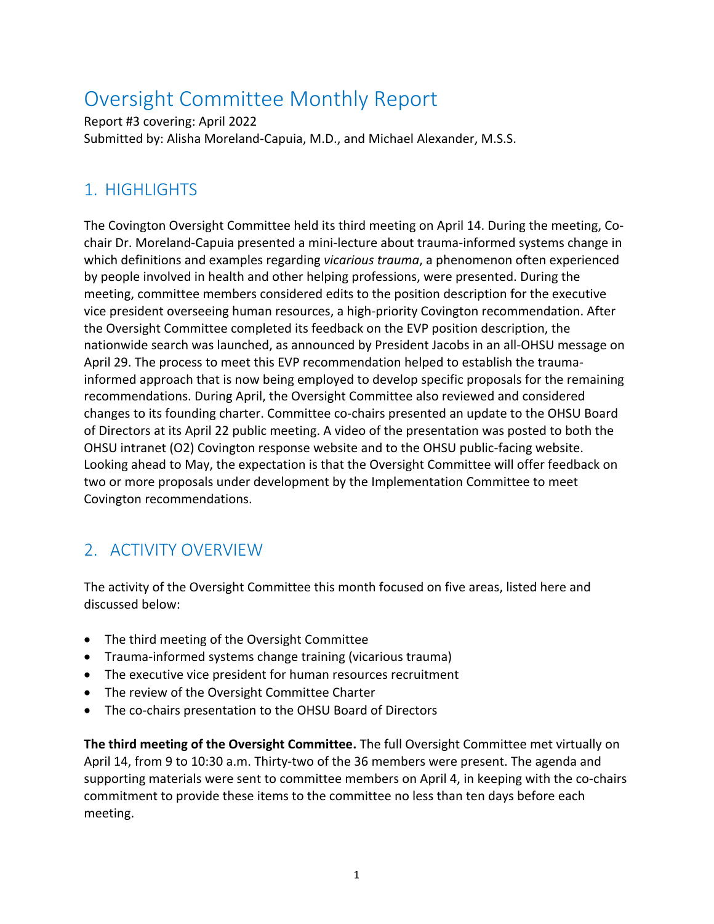# Oversight Committee Monthly Report

Report #3 covering: April 2022 Submitted by: Alisha Moreland-Capuia, M.D., and Michael Alexander, M.S.S.

### 1. HIGHLIGHTS

The Covington Oversight Committee held its third meeting on April 14. During the meeting, Cochair Dr. Moreland-Capuia presented a mini-lecture about trauma-informed systems change in which definitions and examples regarding *vicarious trauma*, a phenomenon often experienced by people involved in health and other helping professions, were presented. During the meeting, committee members considered edits to the position description for the executive vice president overseeing human resources, a high-priority Covington recommendation. After the Oversight Committee completed its feedback on the EVP position description, the nationwide search was launched, as announced by President Jacobs in an all-OHSU message on April 29. The process to meet this EVP recommendation helped to establish the traumainformed approach that is now being employed to develop specific proposals for the remaining recommendations. During April, the Oversight Committee also reviewed and considered changes to its founding charter. Committee co-chairs presented an update to the OHSU Board of Directors at its April 22 public meeting. A video of the presentation was posted to both the OHSU intranet (O2) Covington response website and to the OHSU public-facing website. Looking ahead to May, the expectation is that the Oversight Committee will offer feedback on two or more proposals under development by the Implementation Committee to meet Covington recommendations.

## 2. ACTIVITY OVERVIEW

The activity of the Oversight Committee this month focused on five areas, listed here and discussed below:

- The third meeting of the Oversight Committee
- Trauma-informed systems change training (vicarious trauma)
- The executive vice president for human resources recruitment
- The review of the Oversight Committee Charter
- The co-chairs presentation to the OHSU Board of Directors

**The third meeting of the Oversight Committee.** The full Oversight Committee met virtually on April 14, from 9 to 10:30 a.m. Thirty-two of the 36 members were present. The agenda and supporting materials were sent to committee members on April 4, in keeping with the co-chairs commitment to provide these items to the committee no less than ten days before each meeting.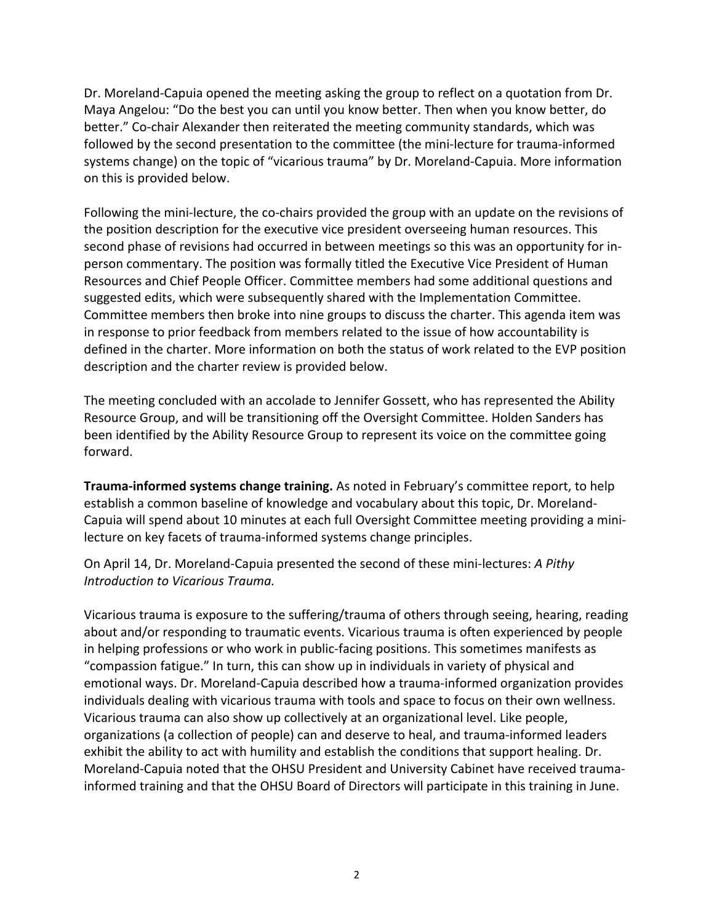Dr. Moreland-Capuia opened the meeting asking the group to reflect on a quotation from Dr. Maya Angelou: "Do the best you can until you know better. Then when you know better, do better." Co-chair Alexander then reiterated the meeting community standards, which was followed by the second presentation to the committee (the mini-lecture for trauma-informed systems change) on the topic of "vicarious trauma" by Dr. Moreland-Capuia. More information on this is provided below.

Following the mini-lecture, the co-chairs provided the group with an update on the revisions of the position description for the executive vice president overseeing human resources. This second phase of revisions had occurred in between meetings so this was an opportunity for inperson commentary. The position was formally titled the Executive Vice President of Human Resources and Chief People Officer. Committee members had some additional questions and suggested edits, which were subsequently shared with the Implementation Committee. Committee members then broke into nine groups to discuss the charter. This agenda item was in response to prior feedback from members related to the issue of how accountability is defined in the charter. More information on both the status of work related to the EVP position description and the charter review is provided below.

The meeting concluded with an accolade to Jennifer Gossett, who has represented the Ability Resource Group, and will be transitioning off the Oversight Committee. Holden Sanders has been identified by the Ability Resource Group to represent its voice on the committee going forward.

**Trauma-informed systems change training.** As noted in February's committee report, to help establish a common baseline of knowledge and vocabulary about this topic, Dr. Moreland-Capuia will spend about 10 minutes at each full Oversight Committee meeting providing a minilecture on key facets of trauma-informed systems change principles.

On April 14, Dr. Moreland-Capuia presented the second of these mini-lectures: *A Pithy Introduction to Vicarious Trauma.*

Vicarious trauma is exposure to the suffering/trauma of others through seeing, hearing, reading about and/or responding to traumatic events. Vicarious trauma is often experienced by people in helping professions or who work in public-facing positions. This sometimes manifests as "compassion fatigue." In turn, this can show up in individuals in variety of physical and emotional ways. Dr. Moreland-Capuia described how a trauma-informed organization provides individuals dealing with vicarious trauma with tools and space to focus on their own wellness. Vicarious trauma can also show up collectively at an organizational level. Like people, organizations (a collection of people) can and deserve to heal, and trauma-informed leaders exhibit the ability to act with humility and establish the conditions that support healing. Dr. Moreland-Capuia noted that the OHSU President and University Cabinet have received traumainformed training and that the OHSU Board of Directors will participate in this training in June.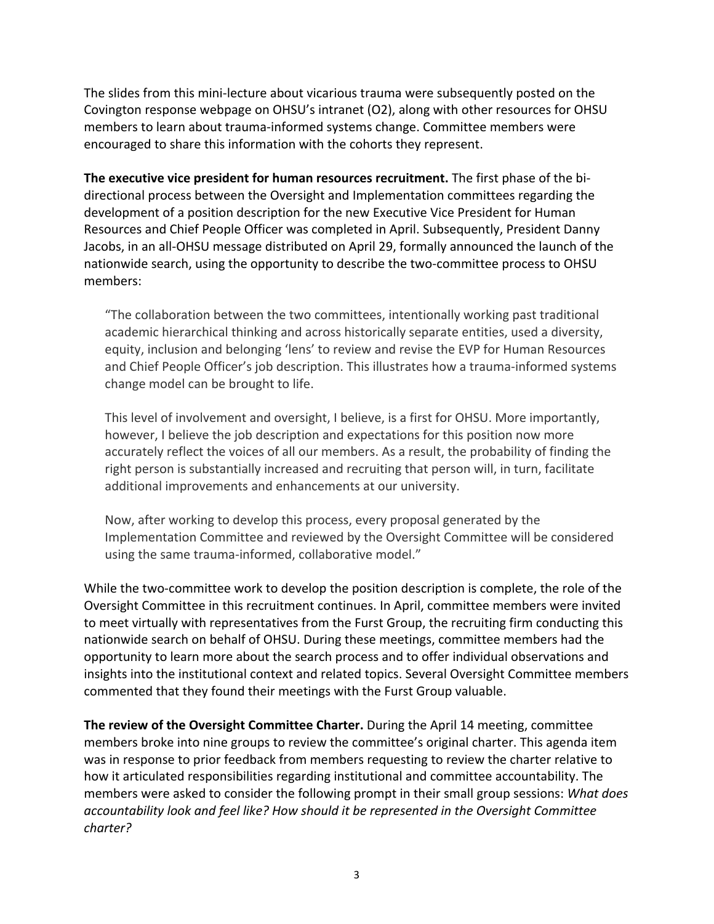The slides from this mini-lecture about vicarious trauma were subsequently posted on the Covington response webpage on OHSU's intranet (O2), along with other resources for OHSU members to learn about trauma-informed systems change. Committee members were encouraged to share this information with the cohorts they represent.

**The executive vice president for human resources recruitment.** The first phase of the bidirectional process between the Oversight and Implementation committees regarding the development of a position description for the new Executive Vice President for Human Resources and Chief People Officer was completed in April. Subsequently, President Danny Jacobs, in an all-OHSU message distributed on April 29, formally announced the launch of the nationwide search, using the opportunity to describe the two-committee process to OHSU members:

"The collaboration between the two committees, intentionally working past traditional academic hierarchical thinking and across historically separate entities, used a diversity, equity, inclusion and belonging 'lens' to review and revise the EVP for Human Resources and Chief People Officer's job description. This illustrates how a trauma-informed systems change model can be brought to life.

This level of involvement and oversight, I believe, is a first for OHSU. More importantly, however, I believe the job description and expectations for this position now more accurately reflect the voices of all our members. As a result, the probability of finding the right person is substantially increased and recruiting that person will, in turn, facilitate additional improvements and enhancements at our university.

Now, after working to develop this process, every proposal generated by the Implementation Committee and reviewed by the Oversight Committee will be considered using the same trauma-informed, collaborative model."

While the two-committee work to develop the position description is complete, the role of the Oversight Committee in this recruitment continues. In April, committee members were invited to meet virtually with representatives from the Furst Group, the recruiting firm conducting this nationwide search on behalf of OHSU. During these meetings, committee members had the opportunity to learn more about the search process and to offer individual observations and insights into the institutional context and related topics. Several Oversight Committee members commented that they found their meetings with the Furst Group valuable.

**The review of the Oversight Committee Charter.** During the April 14 meeting, committee members broke into nine groups to review the committee's original charter. This agenda item was in response to prior feedback from members requesting to review the charter relative to how it articulated responsibilities regarding institutional and committee accountability. The members were asked to consider the following prompt in their small group sessions: *What does accountability look and feel like? How should it be represented in the Oversight Committee charter?*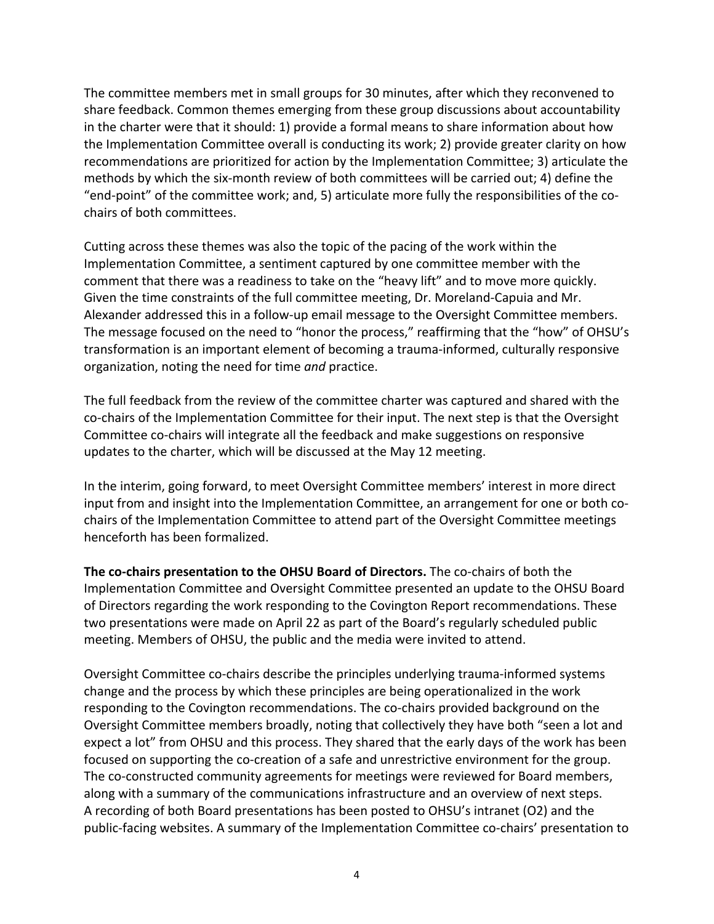The committee members met in small groups for 30 minutes, after which they reconvened to share feedback. Common themes emerging from these group discussions about accountability in the charter were that it should: 1) provide a formal means to share information about how the Implementation Committee overall is conducting its work; 2) provide greater clarity on how recommendations are prioritized for action by the Implementation Committee; 3) articulate the methods by which the six-month review of both committees will be carried out; 4) define the "end-point" of the committee work; and, 5) articulate more fully the responsibilities of the cochairs of both committees.

Cutting across these themes was also the topic of the pacing of the work within the Implementation Committee, a sentiment captured by one committee member with the comment that there was a readiness to take on the "heavy lift" and to move more quickly. Given the time constraints of the full committee meeting, Dr. Moreland-Capuia and Mr. Alexander addressed this in a follow-up email message to the Oversight Committee members. The message focused on the need to "honor the process," reaffirming that the "how" of OHSU's transformation is an important element of becoming a trauma-informed, culturally responsive organization, noting the need for time *and* practice.

The full feedback from the review of the committee charter was captured and shared with the co-chairs of the Implementation Committee for their input. The next step is that the Oversight Committee co-chairs will integrate all the feedback and make suggestions on responsive updates to the charter, which will be discussed at the May 12 meeting.

In the interim, going forward, to meet Oversight Committee members' interest in more direct input from and insight into the Implementation Committee, an arrangement for one or both cochairs of the Implementation Committee to attend part of the Oversight Committee meetings henceforth has been formalized.

**The co-chairs presentation to the OHSU Board of Directors.** The co-chairs of both the Implementation Committee and Oversight Committee presented an update to the OHSU Board of Directors regarding the work responding to the Covington Report recommendations. These two presentations were made on April 22 as part of the Board's regularly scheduled public meeting. Members of OHSU, the public and the media were invited to attend.

Oversight Committee co-chairs describe the principles underlying trauma-informed systems change and the process by which these principles are being operationalized in the work responding to the Covington recommendations. The co-chairs provided background on the Oversight Committee members broadly, noting that collectively they have both "seen a lot and expect a lot" from OHSU and this process. They shared that the early days of the work has been focused on supporting the co-creation of a safe and unrestrictive environment for the group. The co-constructed community agreements for meetings were reviewed for Board members, along with a summary of the communications infrastructure and an overview of next steps. A recording of both Board presentations has been posted to OHSU's intranet (O2) and the public-facing websites. A summary of the Implementation Committee co-chairs' presentation to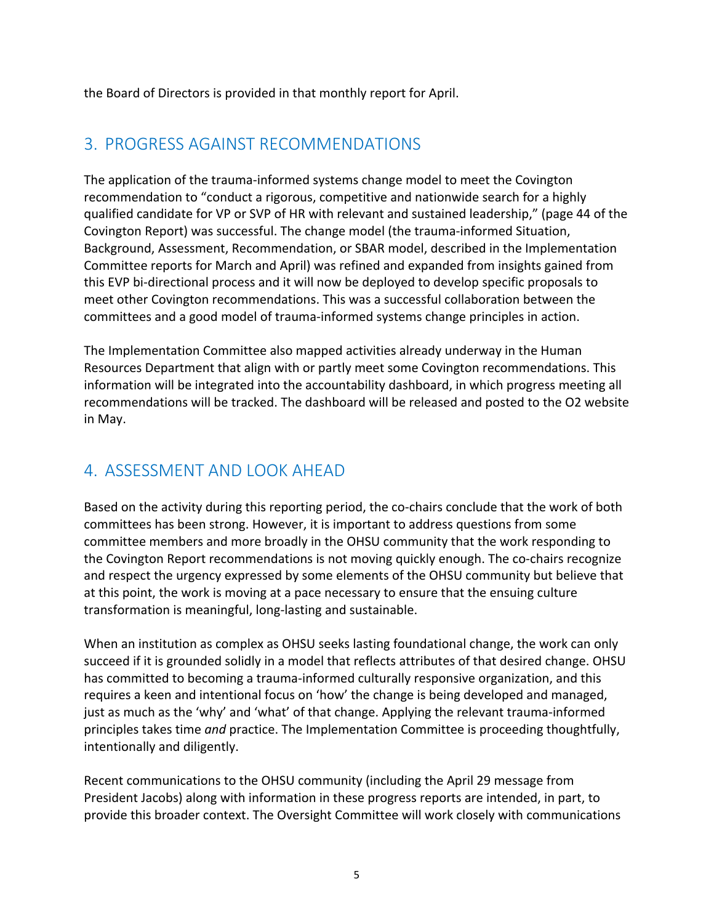the Board of Directors is provided in that monthly report for April.

#### 3. PROGRESS AGAINST RECOMMENDATIONS

The application of the trauma-informed systems change model to meet the Covington recommendation to "conduct a rigorous, competitive and nationwide search for a highly qualified candidate for VP or SVP of HR with relevant and sustained leadership," (page 44 of the Covington Report) was successful. The change model (the trauma-informed Situation, Background, Assessment, Recommendation, or SBAR model, described in the Implementation Committee reports for March and April) was refined and expanded from insights gained from this EVP bi-directional process and it will now be deployed to develop specific proposals to meet other Covington recommendations. This was a successful collaboration between the committees and a good model of trauma-informed systems change principles in action.

The Implementation Committee also mapped activities already underway in the Human Resources Department that align with or partly meet some Covington recommendations. This information will be integrated into the accountability dashboard, in which progress meeting all recommendations will be tracked. The dashboard will be released and posted to the O2 website in May.

### 4. ASSESSMENT AND LOOK AHEAD

Based on the activity during this reporting period, the co-chairs conclude that the work of both committees has been strong. However, it is important to address questions from some committee members and more broadly in the OHSU community that the work responding to the Covington Report recommendations is not moving quickly enough. The co-chairs recognize and respect the urgency expressed by some elements of the OHSU community but believe that at this point, the work is moving at a pace necessary to ensure that the ensuing culture transformation is meaningful, long-lasting and sustainable.

When an institution as complex as OHSU seeks lasting foundational change, the work can only succeed if it is grounded solidly in a model that reflects attributes of that desired change. OHSU has committed to becoming a trauma-informed culturally responsive organization, and this requires a keen and intentional focus on 'how' the change is being developed and managed, just as much as the 'why' and 'what' of that change. Applying the relevant trauma-informed principles takes time *and* practice. The Implementation Committee is proceeding thoughtfully, intentionally and diligently.

Recent communications to the OHSU community (including the April 29 message from President Jacobs) along with information in these progress reports are intended, in part, to provide this broader context. The Oversight Committee will work closely with communications